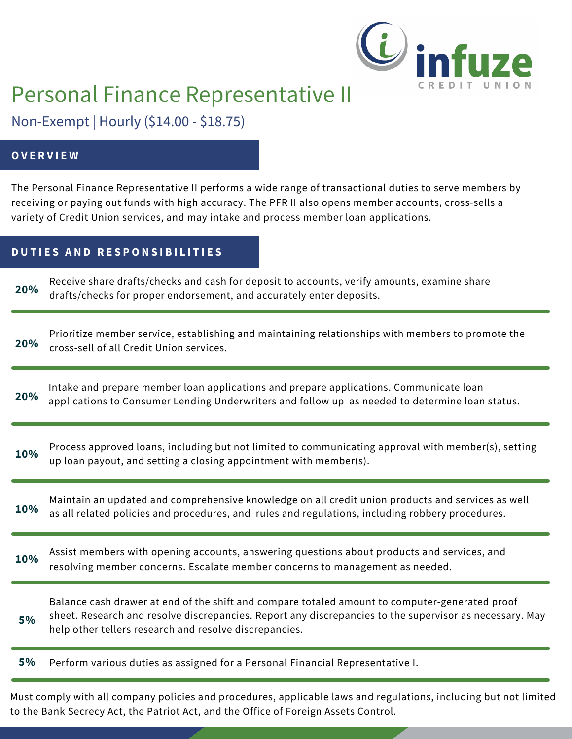

# Personal Finance Representative II

Non-Exempt | Hourly (\$14.00 - \$18.75)

## **O V E R V I E W**

The Personal Finance Representative II performs a wide range of transactional duties to serve members by receiving or paying out funds with high accuracy. The PFR II also opens member accounts, cross-sells a variety of Credit Union services, and may intake and process member loan applications.

## **D U T I E S A N D R E S P O N S I B I L I T I E S**

Receive share drafts/checks and cash for deposit to accounts, verify amounts, examine share drafts/checks for proper endorsement, and accurately enter deposits. **20%**

**20%** Prioritize member service, establishing and maintaining relationships with members to promote the cross-sell of all Credit Union services.

Intake and prepare member loan applications and prepare applications. Communicate loan applications to Consumer Lending Underwriters and follow up as needed to determine loan status. **20%**

**10%** Process approved loans, including but not limited to communicating approval with member(s), setting up loan payout, and setting a closing appointment with member(s).

**10%** Maintain an updated and comprehensive knowledge on all credit union products and services as well as all related policies and procedures, and rules and regulations, including robbery procedures.

Assist members with opening accounts, answering questions about products and services, and resolving member concerns. Escalate member concerns to management as needed. **10%**

Balance cash drawer at end of the shift and compare totaled amount to computer-generated proof sheet. Research and resolve discrepancies. Report any discrepancies to the supervisor as necessary. May help other tellers research and resolve discrepancies. **5%**

Perform various duties as assigned for a Personal Financial Representative I. **5%**

Must comply with all company policies and procedures, applicable laws and regulations, including but not limited to the Bank Secrecy Act, the Patriot Act, and the Office of Foreign Assets Control.